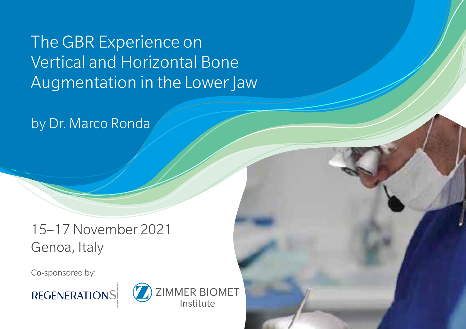The GBR Experience on Vertical and Horizontal Bone Augmentation in the Lower Jaw

by Dr. Marco Ronda

15–17 November 2021 Genoa, Italy

Co-sponsored by:



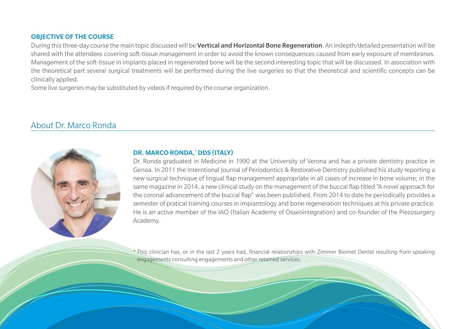#### OBJECTIVE OF THE COURSE

During this three-day course the main topic discussed will be Vertical and Horizontal Bone Regeneration. An indepth/detailed presentation will be shared with the attendees covering soft-tissue management in order to avoid the known consequences caused from early exposure of membranes. Management of the soft-tissue in implants placed in regenerated bone will be the second interesting topic that will be discussed. In association with the theoretical part several surgical treatments will be performed during the live surgeries so that the theoretical and scientific concepts can be clinically applied.

Some live surgeries may be substituted by videos if required by the course organization.

## About Dr. Marco Ronda



#### DR. MARCO RONDA,\* DDS (ITALY)

Dr. Ronda graduated in Medicine in 1990 at the University of Verona and has a private dentistry practice in Genoa. In 2011 the Interntional Journal of Periodontics & Restorative Dentistry published his study reporting a new surgical technique of lingual flap management appropriate in all cases of increase in bone volume; in the same magazine in 2014, a new clinical study on the management of the buccal flap titled "A novel approach for the coronal advancement of the buccal flap" was been published. From 2014 to date he periodically provides a semester of pratical training courses in impiantology and bone regeneration techniques at his private practice. He is an active member of the IAO (Italian Academy of Osseointegration) and co-founder of the Piezosurgery Academy.

\* This clinician has, or in the last 2 years had, financial relationships with Zimmer Biomet Dental resulting from speaking engagements consulting engagements and other retained services.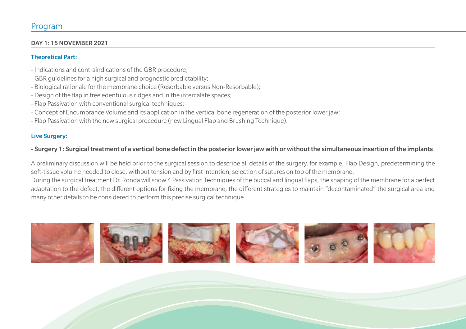#### DAY 1: 15 NOVEMBER 2021

#### Theoretical Part:

- Indications and contraindications of the GBR procedure;
- GBR guidelines for a high surgical and prognostic predictability;
- Biological rationale for the membrane choice (Resorbable versus Non-Resorbable);
- Design of the flap in free edentulous ridges and in the intercalate spaces;
- Flap Passivation with conventional surgical techniques;
- Concept of Encumbrance Volume and its application in the vertical bone regeneration of the posterior lower jaw;
- Flap Passivation with the new surgical procedure (new Lingual Flap and Brushing Technique).

#### Live Surgery:

## - Surgery 1: Surgical treatment of a vertical bone defect in the posterior lower jaw with or without the simultaneous insertion of the implants

A preliminary discussion will be held prior to the surgical session to describe all details of the surgery, for example, Flap Design, predetermining the soft-tissue volume needed to close, without tension and by first intention, selection of sutures on top of the membrane.

During the surgical treatment Dr. Ronda will show 4 Passivation Techniques of the buccal and lingual flaps, the shaping of the membrane for a perfect adaptation to the defect, the different options for fixing the membrane, the different strategies to maintain "decontaminated" the surgical area and many other details to be considered to perform this precise surgical technique.

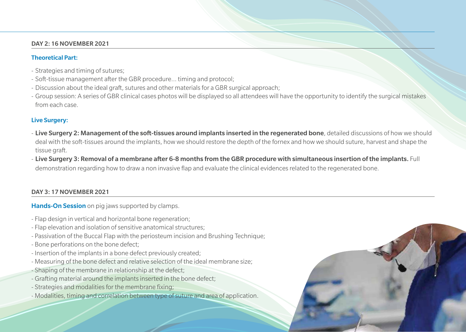#### DAY 2: 16 NOVEMBER 2021

#### Theoretical Part:

- Strategies and timing of sutures;
- Soft-tissue management after the GBR procedure… timing and protocol;
- Discussion about the ideal graft, sutures and other materials for a GBR surgical approach;
- Group session: A series of GBR clinical cases photos will be displayed so all attendees will have the opportunity to identify the surgical mistakes from each case.

#### Live Surgery:

- Live Surgery 2: Management of the soft-tissues around implants inserted in the regenerated bone, detailed discussions of how we should deal with the soft-tissues around the implants, how we should restore the depth of the fornex and how we should suture, harvest and shape the tissue graft.
- Live Surgery 3: Removal of a membrane after 6-8 months from the GBR procedure with simultaneous insertion of the implants. Full demonstration regarding how to draw a non invasive flap and evaluate the clinical evidences related to the regenerated bone.

#### DAY 3: 17 NOVEMBER 2021

Hands-On Session on pig jaws supported by clamps.

- Flap design in vertical and horizontal bone regeneration;
- Flap elevation and isolation of sensitive anatomical structures;
- Passivation of the Buccal Flap with the periosteum incision and Brushing Technique;
- Bone perforations on the bone defect;
- Insertion of the implants in a bone defect previously created;
- Measuring of the bone defect and relative selection of the ideal membrane size;
- Shaping of the membrane in relationship at the defect;
- Grafting material around the implants inserted in the bone defect;
- Strategies and modalities for the membrane fixing;
- Modalities, timing and correlation between type of suture and area of application.

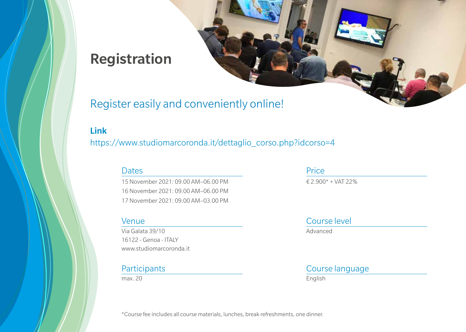# Registration

## Register easily and conveniently online!

## Link

https://www.studiomarcoronda.it/dettaglio\_corso.php?idcorso=4

## **Dates**

15 November 2021: 09.00 AM–06.00 PM 16 November 2021: 09.00 AM–06.00 PM 17 November 2021: 09.00 AM–03.00 PM

## Venue

Via Galata 39/10 16122 - Genoa - ITALY www.studiomarcoronda.it

## **Participants**

max. 20

## Price € 2.900\* + VAT 22%

Course level

Advanced

## Course language

English

\*Course fee includes all course materials, lunches, break refreshments, one dinner.